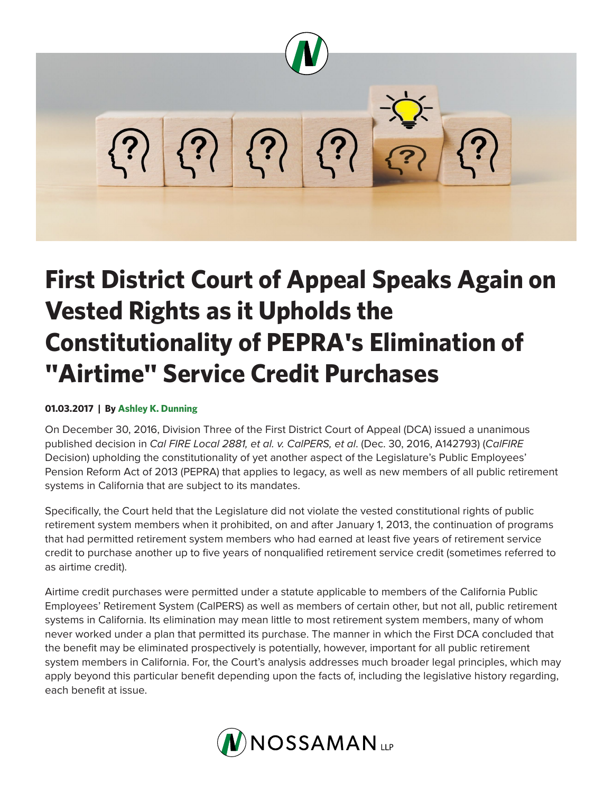

## **First District Court of Appeal Speaks Again on Vested Rights as it Upholds the Constitutionality of PEPRA's Elimination of "Airtime" Service Credit Purchases**

## **01.03.2017 | By Ashley K. Dunning**

On December 30, 2016, Division Three of the First District Court of Appeal (DCA) issued a unanimous published decision in *Cal FIRE Local 2881, et al. v. CalPERS, et al*. (Dec. 30, 2016, A142793) (*CalFIRE* Decision) upholding the constitutionality of yet another aspect of the Legislature's Public Employees' Pension Reform Act of 2013 (PEPRA) that applies to legacy, as well as new members of all public retirement systems in California that are subject to its mandates.

Specifically, the Court held that the Legislature did not violate the vested constitutional rights of public retirement system members when it prohibited, on and after January 1, 2013, the continuation of programs that had permitted retirement system members who had earned at least five years of retirement service credit to purchase another up to five years of nonqualified retirement service credit (sometimes referred to as airtime credit).

Airtime credit purchases were permitted under a statute applicable to members of the California Public Employees' Retirement System (CalPERS) as well as members of certain other, but not all, public retirement systems in California. Its elimination may mean little to most retirement system members, many of whom never worked under a plan that permitted its purchase. The manner in which the First DCA concluded that the benefit may be eliminated prospectively is potentially, however, important for all public retirement system members in California. For, the Court's analysis addresses much broader legal principles, which may apply beyond this particular benefit depending upon the facts of, including the legislative history regarding, each benefit at issue.

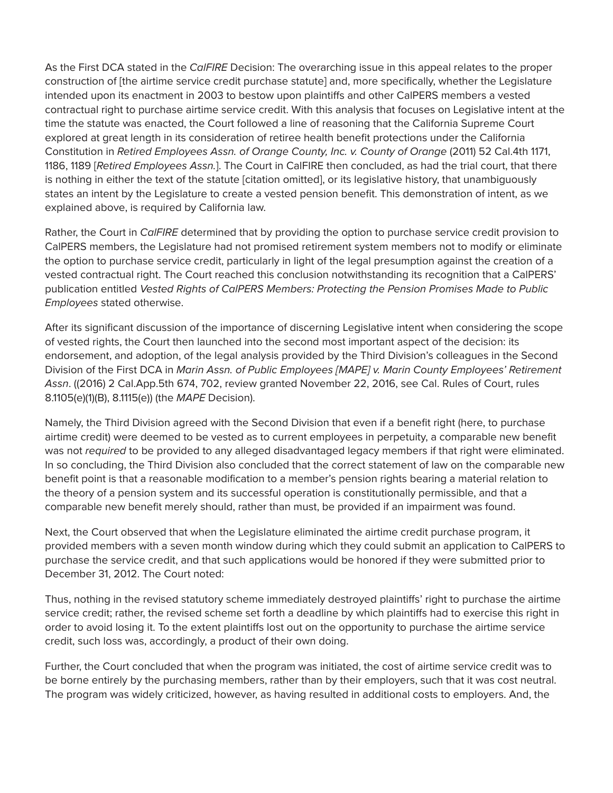As the First DCA stated in the *CalFIRE* Decision: The overarching issue in this appeal relates to the proper construction of [the airtime service credit purchase statute] and, more specifically, whether the Legislature intended upon its enactment in 2003 to bestow upon plaintiffs and other CalPERS members a vested contractual right to purchase airtime service credit. With this analysis that focuses on Legislative intent at the time the statute was enacted, the Court followed a line of reasoning that the California Supreme Court explored at great length in its consideration of retiree health benefit protections under the California Constitution in *Retired Employees Assn. of Orange County, Inc. v. County of Orange* (2011) 52 Cal.4th 1171, 1186, 1189 [*Retired Employees Assn.*]. The Court in CalFIRE then concluded, as had the trial court, that there is nothing in either the text of the statute [citation omitted], or its legislative history, that unambiguously states an intent by the Legislature to create a vested pension benefit. This demonstration of intent, as we explained above, is required by California law.

Rather, the Court in *CalFIRE* determined that by providing the option to purchase service credit provision to CalPERS members, the Legislature had not promised retirement system members not to modify or eliminate the option to purchase service credit, particularly in light of the legal presumption against the creation of a vested contractual right. The Court reached this conclusion notwithstanding its recognition that a CalPERS' publication entitled *Vested Rights of CalPERS Members: Protecting the Pension Promises Made to Public Employees* stated otherwise.

After its significant discussion of the importance of discerning Legislative intent when considering the scope of vested rights, the Court then launched into the second most important aspect of the decision: its endorsement, and adoption, of the legal analysis provided by the Third Division's colleagues in the Second Division of the First DCA in *Marin Assn. of Public Employees [MAPE] v. Marin County Employees' Retirement Assn*. ((2016) 2 Cal.App.5th 674, 702, review granted November 22, 2016, see Cal. Rules of Court, rules 8.1105(e)(1)(B), 8.1115(e)) (the *MAPE* Decision).

Namely, the Third Division agreed with the Second Division that even if a benefit right (here, to purchase airtime credit) were deemed to be vested as to current employees in perpetuity, a comparable new benefit was not *required* to be provided to any alleged disadvantaged legacy members if that right were eliminated. In so concluding, the Third Division also concluded that the correct statement of law on the comparable new benefit point is that a reasonable modification to a member's pension rights bearing a material relation to the theory of a pension system and its successful operation is constitutionally permissible, and that a comparable new benefit merely should, rather than must, be provided if an impairment was found.

Next, the Court observed that when the Legislature eliminated the airtime credit purchase program, it provided members with a seven month window during which they could submit an application to CalPERS to purchase the service credit, and that such applications would be honored if they were submitted prior to December 31, 2012. The Court noted:

Thus, nothing in the revised statutory scheme immediately destroyed plaintiffs' right to purchase the airtime service credit; rather, the revised scheme set forth a deadline by which plaintiffs had to exercise this right in order to avoid losing it. To the extent plaintiffs lost out on the opportunity to purchase the airtime service credit, such loss was, accordingly, a product of their own doing.

Further, the Court concluded that when the program was initiated, the cost of airtime service credit was to be borne entirely by the purchasing members, rather than by their employers, such that it was cost neutral. The program was widely criticized, however, as having resulted in additional costs to employers. And, the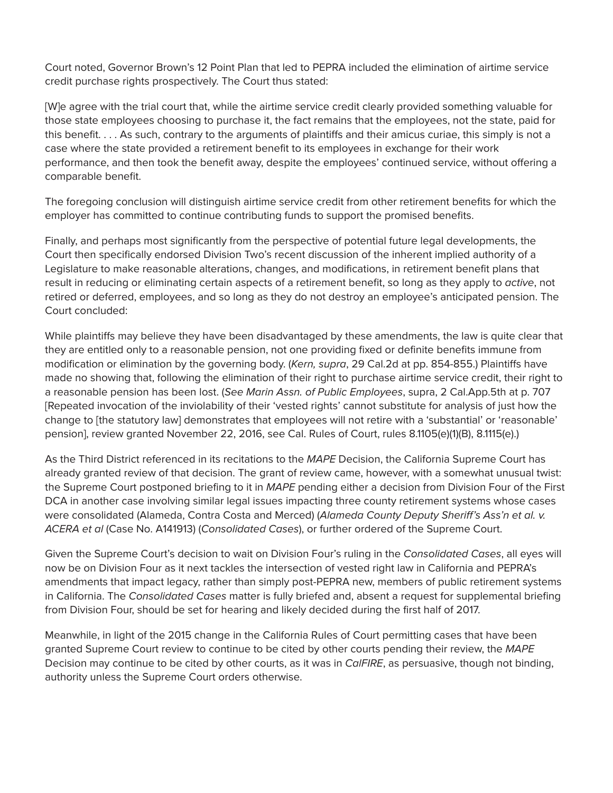Court noted, Governor Brown's 12 Point Plan that led to PEPRA included the elimination of airtime service credit purchase rights prospectively. The Court thus stated:

[W]e agree with the trial court that, while the airtime service credit clearly provided something valuable for those state employees choosing to purchase it, the fact remains that the employees, not the state, paid for this benefit. . . . As such, contrary to the arguments of plaintiffs and their amicus curiae, this simply is not a case where the state provided a retirement benefit to its employees in exchange for their work performance, and then took the benefit away, despite the employees' continued service, without offering a comparable benefit.

The foregoing conclusion will distinguish airtime service credit from other retirement benefits for which the employer has committed to continue contributing funds to support the promised benefits.

Finally, and perhaps most significantly from the perspective of potential future legal developments, the Court then specifically endorsed Division Two's recent discussion of the inherent implied authority of a Legislature to make reasonable alterations, changes, and modifications, in retirement benefit plans that result in reducing or eliminating certain aspects of a retirement benefit, so long as they apply to *active*, not retired or deferred, employees, and so long as they do not destroy an employee's anticipated pension. The Court concluded:

While plaintiffs may believe they have been disadvantaged by these amendments, the law is quite clear that they are entitled only to a reasonable pension, not one providing fixed or definite benefits immune from modification or elimination by the governing body. (*Kern, supra*, 29 Cal.2d at pp. 854-855.) Plaintiffs have made no showing that, following the elimination of their right to purchase airtime service credit, their right to a reasonable pension has been lost. (*See Marin Assn. of Public Employees*, supra, 2 Cal.App.5th at p. 707 [Repeated invocation of the inviolability of their 'vested rights' cannot substitute for analysis of just how the change to [the statutory law] demonstrates that employees will not retire with a 'substantial' or 'reasonable' pension], review granted November 22, 2016, see Cal. Rules of Court, rules 8.1105(e)(1)(B), 8.1115(e).)

As the Third District referenced in its recitations to the *MAPE* Decision, the California Supreme Court has already granted review of that decision. The grant of review came, however, with a somewhat unusual twist: the Supreme Court postponed briefing to it in *MAPE* pending either a decision from Division Four of the First DCA in another case involving similar legal issues impacting three county retirement systems whose cases were consolidated (Alameda, Contra Costa and Merced) (*Alameda County Deputy Sheriff's Ass'n et al. v. ACERA et al* (Case No. A141913) (*Consolidated Cases*), or further ordered of the Supreme Court.

Given the Supreme Court's decision to wait on Division Four's ruling in the *Consolidated Cases*, all eyes will now be on Division Four as it next tackles the intersection of vested right law in California and PEPRA's amendments that impact legacy, rather than simply post-PEPRA new, members of public retirement systems in California. The *Consolidated Cases* matter is fully briefed and, absent a request for supplemental briefing from Division Four, should be set for hearing and likely decided during the first half of 2017.

Meanwhile, in light of the 2015 change in the California Rules of Court permitting cases that have been granted Supreme Court review to continue to be cited by other courts pending their review, the *MAPE* Decision may continue to be cited by other courts, as it was in *CalFIRE*, as persuasive, though not binding, authority unless the Supreme Court orders otherwise.